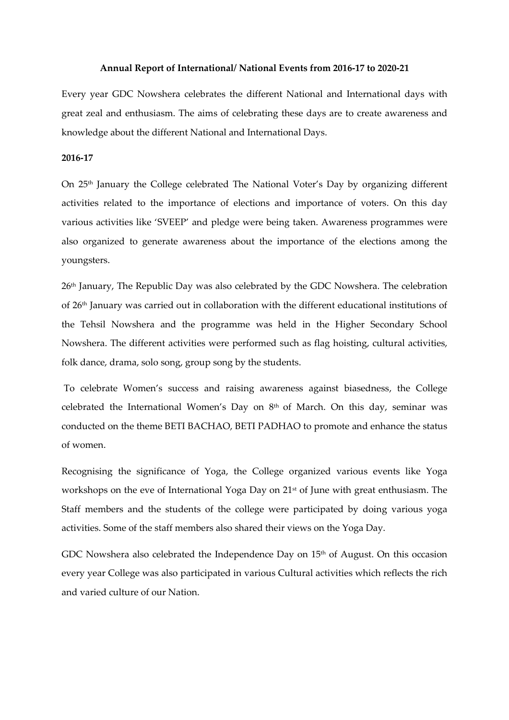### **Annual Report of International/ National Events from 2016-17 to 2020-21**

Every year GDC Nowshera celebrates the different National and International days with great zeal and enthusiasm. The aims of celebrating these days are to create awareness and knowledge about the different National and International Days.

# **2016-17**

On 25th January the College celebrated The National Voter's Day by organizing different activities related to the importance of elections and importance of voters. On this day various activities like 'SVEEP' and pledge were being taken. Awareness programmes were also organized to generate awareness about the importance of the elections among the youngsters.

26th January, The Republic Day was also celebrated by the GDC Nowshera. The celebration of 26th January was carried out in collaboration with the different educational institutions of the Tehsil Nowshera and the programme was held in the Higher Secondary School Nowshera. The different activities were performed such as flag hoisting, cultural activities, folk dance, drama, solo song, group song by the students.

To celebrate Women's success and raising awareness against biasedness, the College celebrated the International Women's Day on  $8<sup>th</sup>$  of March. On this day, seminar was conducted on the theme BETI BACHAO, BETI PADHAO to promote and enhance the status of women.

Recognising the significance of Yoga, the College organized various events like Yoga workshops on the eve of International Yoga Day on 21st of June with great enthusiasm. The Staff members and the students of the college were participated by doing various yoga activities. Some of the staff members also shared their views on the Yoga Day.

GDC Nowshera also celebrated the Independence Day on 15<sup>th</sup> of August. On this occasion every year College was also participated in various Cultural activities which reflects the rich and varied culture of our Nation.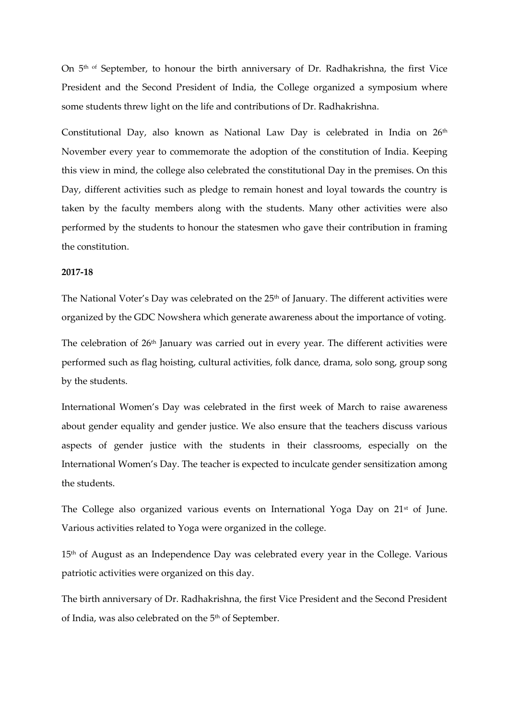On 5<sup>th of</sup> September, to honour the birth anniversary of Dr. Radhakrishna, the first Vice President and the Second President of India, the College organized a symposium where some students threw light on the life and contributions of Dr. Radhakrishna.

Constitutional Day, also known as National Law Day is celebrated in India on 26<sup>th</sup> November every year to commemorate the adoption of the constitution of India. Keeping this view in mind, the college also celebrated the constitutional Day in the premises. On this Day, different activities such as pledge to remain honest and loyal towards the country is taken by the faculty members along with the students. Many other activities were also performed by the students to honour the statesmen who gave their contribution in framing the constitution.

## **2017-18**

The National Voter's Day was celebrated on the 25<sup>th</sup> of January. The different activities were organized by the GDC Nowshera which generate awareness about the importance of voting.

The celebration of 26<sup>th</sup> January was carried out in every year. The different activities were performed such as flag hoisting, cultural activities, folk dance, drama, solo song, group song by the students.

International Women's Day was celebrated in the first week of March to raise awareness about gender equality and gender justice. We also ensure that the teachers discuss various aspects of gender justice with the students in their classrooms, especially on the International Women's Day. The teacher is expected to inculcate gender sensitization among the students.

The College also organized various events on International Yoga Day on 21<sup>st</sup> of June. Various activities related to Yoga were organized in the college.

15<sup>th</sup> of August as an Independence Day was celebrated every year in the College. Various patriotic activities were organized on this day.

The birth anniversary of Dr. Radhakrishna, the first Vice President and the Second President of India, was also celebrated on the 5<sup>th</sup> of September.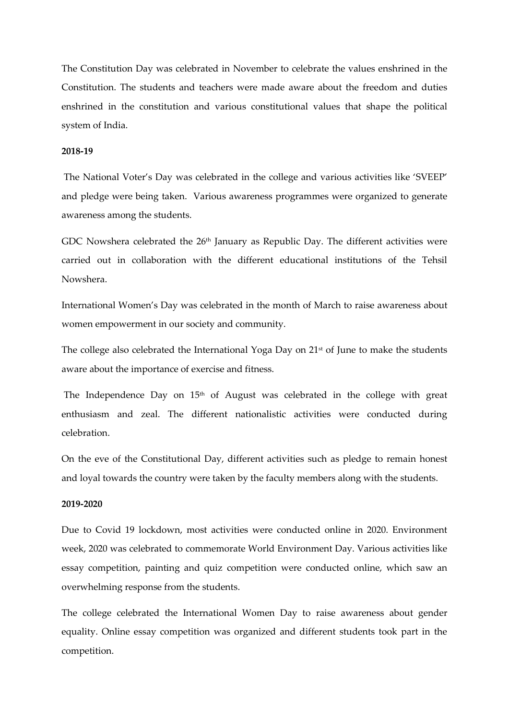The Constitution Day was celebrated in November to celebrate the values enshrined in the Constitution. The students and teachers were made aware about the freedom and duties enshrined in the constitution and various constitutional values that shape the political system of India.

### **2018-19**

The National Voter's Day was celebrated in the college and various activities like 'SVEEP' and pledge were being taken. Various awareness programmes were organized to generate awareness among the students.

GDC Nowshera celebrated the 26<sup>th</sup> January as Republic Day. The different activities were carried out in collaboration with the different educational institutions of the Tehsil Nowshera.

International Women's Day was celebrated in the month of March to raise awareness about women empowerment in our society and community.

The college also celebrated the International Yoga Day on 21<sup>st</sup> of June to make the students aware about the importance of exercise and fitness.

The Independence Day on 15<sup>th</sup> of August was celebrated in the college with great enthusiasm and zeal. The different nationalistic activities were conducted during celebration.

On the eve of the Constitutional Day, different activities such as pledge to remain honest and loyal towards the country were taken by the faculty members along with the students.

# **2019-2020**

Due to Covid 19 lockdown, most activities were conducted online in 2020. Environment week, 2020 was celebrated to commemorate World Environment Day. Various activities like essay competition, painting and quiz competition were conducted online, which saw an overwhelming response from the students.

The college celebrated the International Women Day to raise awareness about gender equality. Online essay competition was organized and different students took part in the competition.